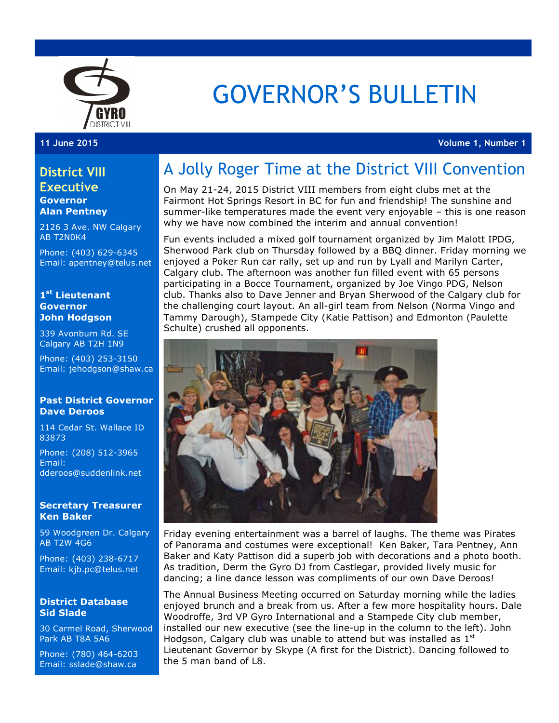

# GOVERNOR'S BULLETIN

**11 June 2015 Volume 1, Number 1**

### **District VIII**

**Executive Governor Alan Pentney**

2126 3 Ave. NW Calgary AB T2N0K4

Phone: (403) 629-6345 Email: apentney@telus.net

#### **1st Lieutenant Governor John Hodgson**

339 Avonburn Rd. SE Calgary AB T2H 1N9

Phone: (403) 253-3150 Email: jehodgson@shaw.ca

### **Past District Governor Dave Deroos**

114 Cedar St. Wallace ID 83873

Phone: (208) 512-3965 Email: dderoos@suddenlink.net

### **Secretary Treasurer Ken Baker**

59 Woodgreen Dr. Calgary AB T2W 4G6

Phone: (403) 238-6717 Email: kjb.pc@telus.net

### **District Database Sid Slade**

30 Carmel Road, Sherwood Park AB T8A 5A6

Phone: (780) 464-6203 Email: sslade@shaw.ca

## A Jolly Roger Time at the District VIII Convention

On May 21-24, 2015 District VIII members from eight clubs met at the Fairmont Hot Springs Resort in BC for fun and friendship! The sunshine and summer-like temperatures made the event very enjoyable – this is one reason why we have now combined the interim and annual convention!

Fun events included a mixed golf tournament organized by Jim Malott IPDG, Sherwood Park club on Thursday followed by a BBQ dinner. Friday morning we enjoyed a Poker Run car rally, set up and run by Lyall and Marilyn Carter, Calgary club. The afternoon was another fun filled event with 65 persons participating in a Bocce Tournament, organized by Joe Vingo PDG, Nelson club. Thanks also to Dave Jenner and Bryan Sherwood of the Calgary club for the challenging court layout. An all-girl team from Nelson (Norma Vingo and Tammy Darough), Stampede City (Katie Pattison) and Edmonton (Paulette Schulte) crushed all opponents.



Friday evening entertainment was a barrel of laughs. The theme was Pirates of Panorama and costumes were exceptional! Ken Baker, Tara Pentney, Ann Baker and Katy Pattison did a superb job with decorations and a photo booth. As tradition, Derm the Gyro DJ from Castlegar, provided lively music for dancing; a line dance lesson was compliments of our own Dave Deroos!

The Annual Business Meeting occurred on Saturday morning while the ladies enjoyed brunch and a break from us. After a few more hospitality hours. Dale Woodroffe, 3rd VP Gyro International and a Stampede City club member, installed our new executive (see the line-up in the column to the left). John Hodgson, Calgary club was unable to attend but was installed as  $1<sup>st</sup>$ Lieutenant Governor by Skype (A first for the District). Dancing followed to the 5 man band of L8.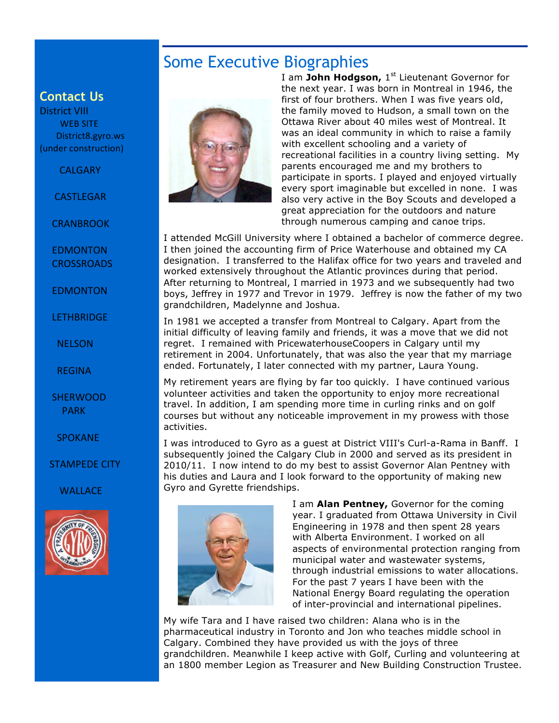### Some Executive Biographies

### **Contact Us**

District VIII WEB SITE. District8.gyro.ws (under construction)

#### **CALGARY**

**CASTLEGAR** 

**CRANBROOK** 

 EDMONTON **CROSSROADS** 

 EDMONTON

**LETHBRIDGE** 

 NELSON

 REGINA

### **SHERWOOD**  PARK

 SPOKANE

#### STAMPEDE CITY

**WALLACE** 





I am John Hodgson, 1<sup>st</sup> Lieutenant Governor for the next year. I was born in Montreal in 1946, the first of four brothers. When I was five years old, the family moved to Hudson, a small town on the Ottawa River about 40 miles west of Montreal. It was an ideal community in which to raise a family with excellent schooling and a variety of recreational facilities in a country living setting. My parents encouraged me and my brothers to participate in sports. I played and enjoyed virtually every sport imaginable but excelled in none. I was also very active in the Boy Scouts and developed a great appreciation for the outdoors and nature through numerous camping and canoe trips.

I attended McGill University where I obtained a bachelor of commerce degree. I then joined the accounting firm of Price Waterhouse and obtained my CA designation. I transferred to the Halifax office for two years and traveled and worked extensively throughout the Atlantic provinces during that period. After returning to Montreal, I married in 1973 and we subsequently had two boys, Jeffrey in 1977 and Trevor in 1979. Jeffrey is now the father of my two grandchildren, Madelynne and Joshua.

In 1981 we accepted a transfer from Montreal to Calgary. Apart from the initial difficulty of leaving family and friends, it was a move that we did not regret. I remained with PricewaterhouseCoopers in Calgary until my retirement in 2004. Unfortunately, that was also the year that my marriage ended. Fortunately, I later connected with my partner, Laura Young.

My retirement years are flying by far too quickly. I have continued various volunteer activities and taken the opportunity to enjoy more recreational travel. In addition, I am spending more time in curling rinks and on golf courses but without any noticeable improvement in my prowess with those activities.

I was introduced to Gyro as a guest at District VIII's Curl-a-Rama in Banff. I subsequently joined the Calgary Club in 2000 and served as its president in 2010/11. I now intend to do my best to assist Governor Alan Pentney with his duties and Laura and I look forward to the opportunity of making new Gyro and Gyrette friendships.



I am **Alan Pentney,** Governor for the coming year. I graduated from Ottawa University in Civil Engineering in 1978 and then spent 28 years with Alberta Environment. I worked on all aspects of environmental protection ranging from municipal water and wastewater systems, through industrial emissions to water allocations. For the past 7 years I have been with the National Energy Board regulating the operation of inter-provincial and international pipelines.

My wife Tara and I have raised two children: Alana who is in the pharmaceutical industry in Toronto and Jon who teaches middle school in Calgary. Combined they have provided us with the joys of three grandchildren. Meanwhile I keep active with Golf, Curling and volunteering at an 1800 member Legion as Treasurer and New Building Construction Trustee.